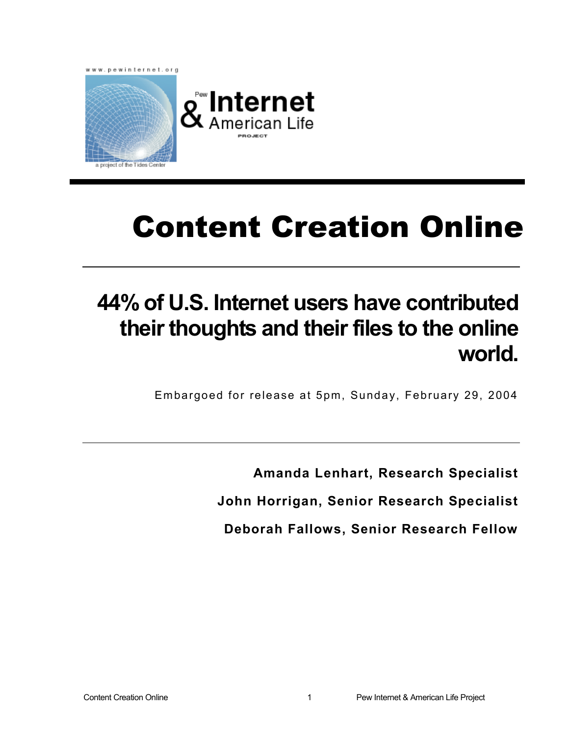

# Content Creation Online

## **44% of U.S. Internet users have contributed their thoughts and their files to the online world.**

Embargoed for release at 5pm, Sunday, February 29, 2004

**Amanda Lenhart, Research Specialist** 

**John Horrigan, Senior Research Specialist** 

**Deborah Fallows, Senior Research Fellow**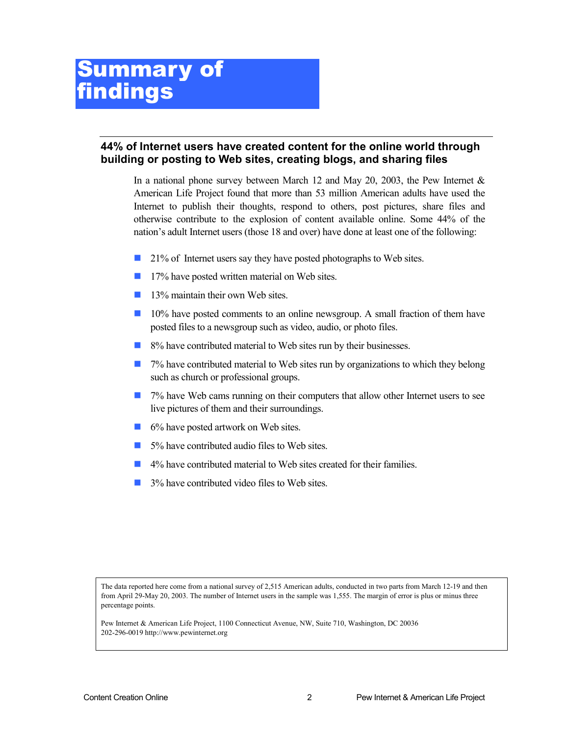#### **44% of Internet users have created content for the online world through building or posting to Web sites, creating blogs, and sharing files**

In a national phone survey between March 12 and May 20, 2003, the Pew Internet  $\&$ American Life Project found that more than 53 million American adults have used the Internet to publish their thoughts, respond to others, post pictures, share files and otherwise contribute to the explosion of content available online. Some 44% of the nation's adult Internet users (those 18 and over) have done at least one of the following:

- 21% of Internet users say they have posted photographs to Web sites.
- 17% have posted written material on Web sites.
- $\blacksquare$  13% maintain their own Web sites.
- **10%** have posted comments to an online newsgroup. A small fraction of them have posted files to a newsgroup such as video, audio, or photo files.
- 8% have contributed material to Web sites run by their businesses.
- $\Box$  7% have contributed material to Web sites run by organizations to which they belong such as church or professional groups.
- 7% have Web cams running on their computers that allow other Internet users to see live pictures of them and their surroundings.
- 6% have posted artwork on Web sites.
- 5% have contributed audio files to Web sites.
- $\blacksquare$  4% have contributed material to Web sites created for their families.
- 3% have contributed video files to Web sites.

The data reported here come from a national survey of 2,515 American adults, conducted in two parts from March 12-19 and then from April 29-May 20, 2003. The number of Internet users in the sample was 1,555. The margin of error is plus or minus three percentage points.

Pew Internet & American Life Project, 1100 Connecticut Avenue, NW, Suite 710, Washington, DC 20036 202-296-0019 http://www.pewinternet.org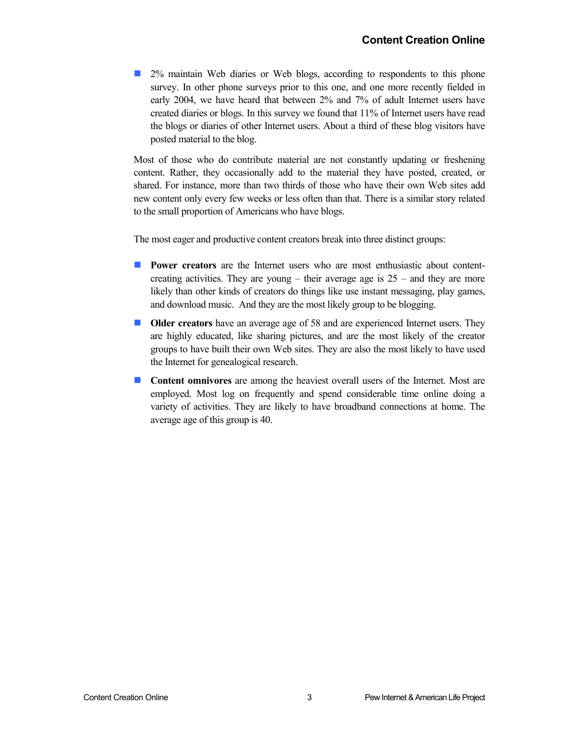2% maintain Web diaries or Web blogs, according to respondents to this phone survey. In other phone surveys prior to this one, and one more recently fielded in early 2004, we have heard that between 2% and 7% of adult Internet users have created diaries or blogs. In this survey we found that 11% of Internet users have read the blogs or diaries of other Internet users. About a third of these blog visitors have posted material to the blog.

Most of those who do contribute material are not constantly updating or freshening content. Rather, they occasionally add to the material they have posted, created, or shared. For instance, more than two thirds of those who have their own Web sites add new content only every few weeks or less often than that. There is a similar story related to the small proportion of Americans who have blogs.

The most eager and productive content creators break into three distinct groups:

- **Power creators** are the Internet users who are most enthusiastic about contentcreating activities. They are young – their average age is  $25$  – and they are more likely than other kinds of creators do things like use instant messaging, play games, and download music. And they are the most likely group to be blogging.
- **Older creators** have an average age of 58 and are experienced Internet users. They are highly educated, like sharing pictures, and are the most likely of the creator groups to have built their own Web sites. They are also the most likely to have used the Internet for genealogical research.
- **Content omnivores** are among the heaviest overall users of the Internet. Most are employed. Most log on frequently and spend considerable time online doing a variety of activities. They are likely to have broadband connections at home. The average age of this group is 40.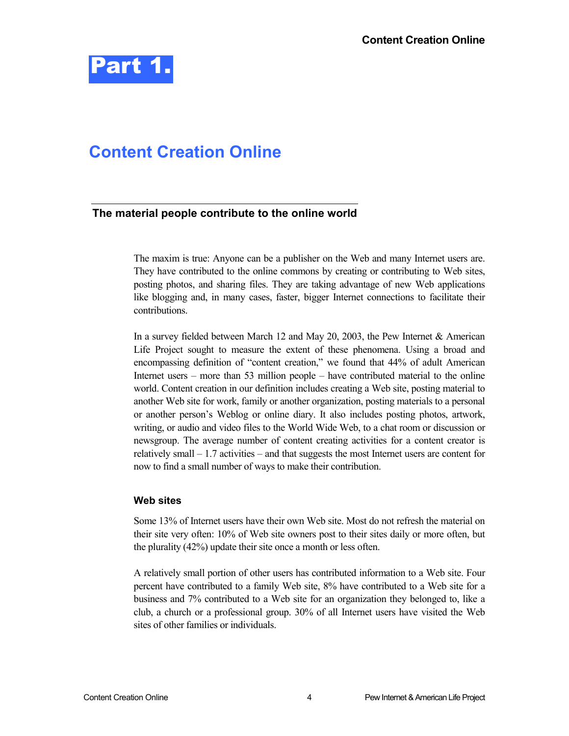

### **Content Creation Online**

#### **The material people contribute to the online world**

The maxim is true: Anyone can be a publisher on the Web and many Internet users are. They have contributed to the online commons by creating or contributing to Web sites, posting photos, and sharing files. They are taking advantage of new Web applications like blogging and, in many cases, faster, bigger Internet connections to facilitate their contributions.

In a survey fielded between March 12 and May 20, 2003, the Pew Internet & American Life Project sought to measure the extent of these phenomena. Using a broad and encompassing definition of "content creation," we found that 44% of adult American Internet users – more than 53 million people – have contributed material to the online world. Content creation in our definition includes creating a Web site, posting material to another Web site for work, family or another organization, posting materials to a personal or another person's Weblog or online diary. It also includes posting photos, artwork, writing, or audio and video files to the World Wide Web, to a chat room or discussion or newsgroup. The average number of content creating activities for a content creator is relatively small – 1.7 activities – and that suggests the most Internet users are content for now to find a small number of ways to make their contribution.

#### **Web sites**

Some 13% of Internet users have their own Web site. Most do not refresh the material on their site very often: 10% of Web site owners post to their sites daily or more often, but the plurality (42%) update their site once a month or less often.

A relatively small portion of other users has contributed information to a Web site. Four percent have contributed to a family Web site, 8% have contributed to a Web site for a business and 7% contributed to a Web site for an organization they belonged to, like a club, a church or a professional group. 30% of all Internet users have visited the Web sites of other families or individuals.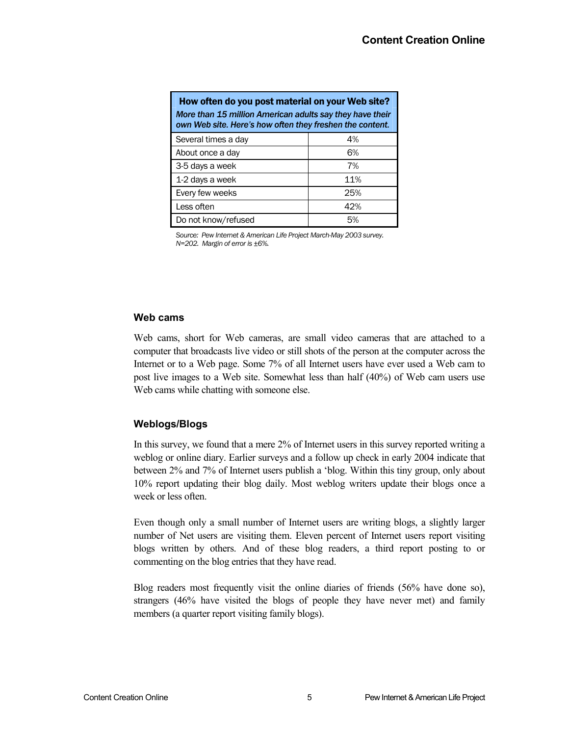| How often do you post material on your Web site?<br>More than 15 million American adults say they have their<br>own Web site. Here's how often they freshen the content. |     |
|--------------------------------------------------------------------------------------------------------------------------------------------------------------------------|-----|
| Several times a day                                                                                                                                                      | 4%  |
| About once a day                                                                                                                                                         | 6%  |
| 3-5 days a week                                                                                                                                                          | 7%  |
| 1-2 days a week                                                                                                                                                          | 11% |
| Every few weeks                                                                                                                                                          | 25% |
| Less often                                                                                                                                                               | 42% |
| Do not know/refused                                                                                                                                                      | .5% |

*Source: Pew Internet & American Life Project March-May 2003 survey. N=202. Margin of error is ±6%.* 

#### **Web cams**

Web cams, short for Web cameras, are small video cameras that are attached to a computer that broadcasts live video or still shots of the person at the computer across the Internet or to a Web page. Some 7% of all Internet users have ever used a Web cam to post live images to a Web site. Somewhat less than half (40%) of Web cam users use Web cams while chatting with someone else.

#### **Weblogs/Blogs**

In this survey, we found that a mere 2% of Internet users in this survey reported writing a weblog or online diary. Earlier surveys and a follow up check in early 2004 indicate that between 2% and 7% of Internet users publish a 'blog. Within this tiny group, only about 10% report updating their blog daily. Most weblog writers update their blogs once a week or less often.

Even though only a small number of Internet users are writing blogs, a slightly larger number of Net users are visiting them. Eleven percent of Internet users report visiting blogs written by others. And of these blog readers, a third report posting to or commenting on the blog entries that they have read.

Blog readers most frequently visit the online diaries of friends (56% have done so), strangers (46% have visited the blogs of people they have never met) and family members (a quarter report visiting family blogs).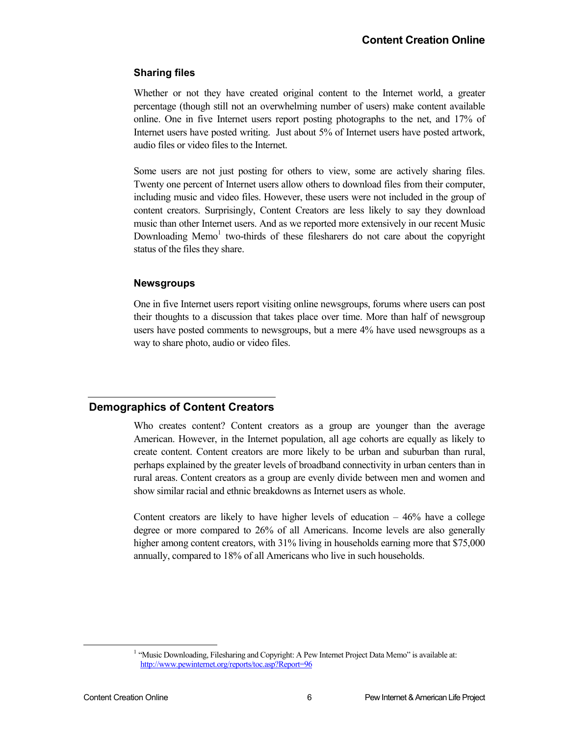#### **Sharing files**

Whether or not they have created original content to the Internet world, a greater percentage (though still not an overwhelming number of users) make content available online. One in five Internet users report posting photographs to the net, and 17% of Internet users have posted writing. Just about 5% of Internet users have posted artwork, audio files or video files to the Internet.

Some users are not just posting for others to view, some are actively sharing files. Twenty one percent of Internet users allow others to download files from their computer, including music and video files. However, these users were not included in the group of content creators. Surprisingly, Content Creators are less likely to say they download music than other Internet users. And as we reported more extensively in our recent Music Downloading Memo<sup>1</sup> two-thirds of these filesharers do not care about the copyright status of the files they share.

#### **Newsgroups**

One in five Internet users report visiting online newsgroups, forums where users can post their thoughts to a discussion that takes place over time. More than half of newsgroup users have posted comments to newsgroups, but a mere 4% have used newsgroups as a way to share photo, audio or video files.

#### **Demographics of Content Creators**

Who creates content? Content creators as a group are younger than the average American. However, in the Internet population, all age cohorts are equally as likely to create content. Content creators are more likely to be urban and suburban than rural, perhaps explained by the greater levels of broadband connectivity in urban centers than in rural areas. Content creators as a group are evenly divide between men and women and show similar racial and ethnic breakdowns as Internet users as whole.

Content creators are likely to have higher levels of education  $-46\%$  have a college degree or more compared to 26% of all Americans. Income levels are also generally higher among content creators, with  $31\%$  living in households earning more that \$75,000 annually, compared to 18% of all Americans who live in such households.

<sup>&</sup>lt;u>1</u> <sup>1</sup> "Music Downloading, Filesharing and Copyright: A Pew Internet Project Data Memo" is available at: http://www.pewinternet.org/reports/toc.asp?Report=96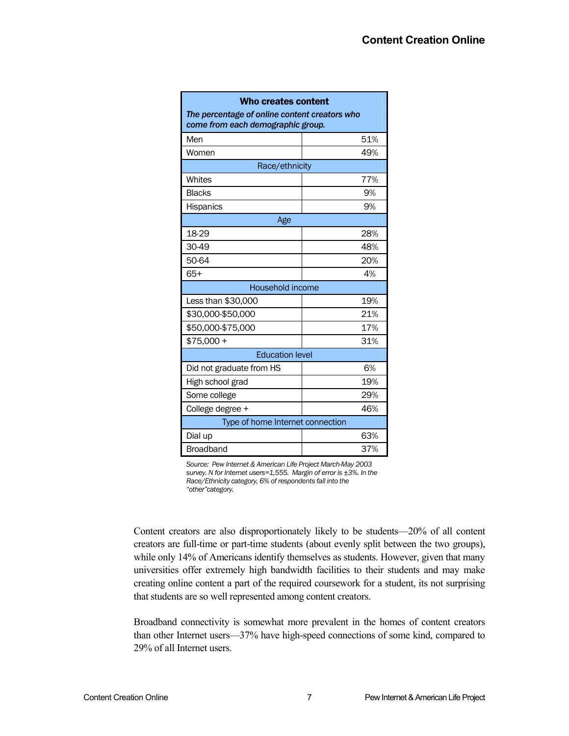| <b>Who creates content</b><br>The percentage of online content creators who<br>come from each demographic group. |     |  |
|------------------------------------------------------------------------------------------------------------------|-----|--|
| Men                                                                                                              | 51% |  |
| Women                                                                                                            | 49% |  |
| Race/ethnicity                                                                                                   |     |  |
| Whites                                                                                                           | 77% |  |
| <b>Blacks</b>                                                                                                    | 9%  |  |
| Hispanics                                                                                                        | 9%  |  |
| Age                                                                                                              |     |  |
| 18-29                                                                                                            | 28% |  |
| 30-49                                                                                                            | 48% |  |
| 50-64                                                                                                            | 20% |  |
| $65+$                                                                                                            | 4%  |  |
| Household income                                                                                                 |     |  |
| Less than \$30,000                                                                                               | 19% |  |
| \$30,000-\$50,000                                                                                                | 21% |  |
| \$50,000-\$75,000                                                                                                | 17% |  |
| $$75,000 +$                                                                                                      | 31% |  |
| <b>Education level</b>                                                                                           |     |  |
| Did not graduate from HS                                                                                         | 6%  |  |
| High school grad                                                                                                 | 19% |  |
| 29%<br>Some college                                                                                              |     |  |
| College degree +                                                                                                 | 46% |  |
| Type of home Internet connection                                                                                 |     |  |
| Dial up                                                                                                          | 63% |  |
| <b>Broadband</b>                                                                                                 | 37% |  |

*Source: Pew Internet & American Life Project March-May 2003 survey. N for Internet users=1,555. Margin of error is ±3%. In the Race/Ethnicity category, 6% of respondents fall into the "other"category.* 

Content creators are also disproportionately likely to be students—20% of all content creators are full-time or part-time students (about evenly split between the two groups), while only 14% of Americans identify themselves as students. However, given that many universities offer extremely high bandwidth facilities to their students and may make creating online content a part of the required coursework for a student, its not surprising that students are so well represented among content creators.

Broadband connectivity is somewhat more prevalent in the homes of content creators than other Internet users—37% have high-speed connections of some kind, compared to 29% of all Internet users.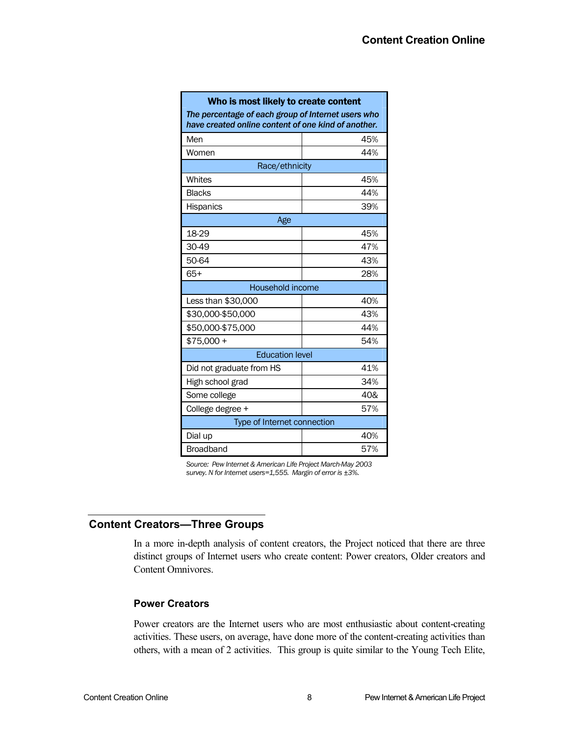| Who is most likely to create content<br>The percentage of each group of Internet users who<br>have created online content of one kind of another. |     |  |
|---------------------------------------------------------------------------------------------------------------------------------------------------|-----|--|
| Men                                                                                                                                               | 45% |  |
| Women                                                                                                                                             | 44% |  |
| Race/ethnicity                                                                                                                                    |     |  |
| Whites                                                                                                                                            | 45% |  |
| <b>Blacks</b>                                                                                                                                     | 44% |  |
| Hispanics                                                                                                                                         | 39% |  |
| Age                                                                                                                                               |     |  |
| 18-29                                                                                                                                             | 45% |  |
| 30-49                                                                                                                                             | 47% |  |
| 50-64                                                                                                                                             | 43% |  |
| $65+$                                                                                                                                             | 28% |  |
| Household income                                                                                                                                  |     |  |
| Less than \$30,000                                                                                                                                | 40% |  |
| \$30,000-\$50,000                                                                                                                                 | 43% |  |
| \$50,000-\$75,000                                                                                                                                 | 44% |  |
| $$75,000 +$                                                                                                                                       | 54% |  |
| <b>Education level</b>                                                                                                                            |     |  |
| Did not graduate from HS                                                                                                                          | 41% |  |
| High school grad                                                                                                                                  | 34% |  |
| Some college                                                                                                                                      | 40& |  |
| College degree +                                                                                                                                  | 57% |  |
| Type of Internet connection                                                                                                                       |     |  |
| Dial up                                                                                                                                           | 40% |  |
| <b>Broadband</b>                                                                                                                                  | 57% |  |

*Source: Pew Internet & American Life Project March-May 2003 survey. N for Internet users=1,555. Margin of error is ±3%.* 

#### **Content Creators—Three Groups**

In a more in-depth analysis of content creators, the Project noticed that there are three distinct groups of Internet users who create content: Power creators, Older creators and Content Omnivores.

#### **Power Creators**

Power creators are the Internet users who are most enthusiastic about content-creating activities. These users, on average, have done more of the content-creating activities than others, with a mean of 2 activities. This group is quite similar to the Young Tech Elite,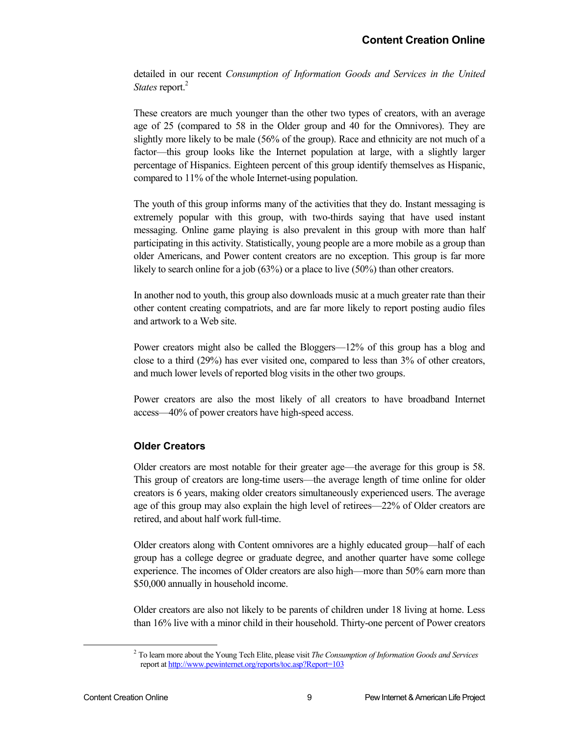detailed in our recent *Consumption of Information Goods and Services in the United States* report.<sup>2</sup>

These creators are much younger than the other two types of creators, with an average age of 25 (compared to 58 in the Older group and 40 for the Omnivores). They are slightly more likely to be male (56% of the group). Race and ethnicity are not much of a factor—this group looks like the Internet population at large, with a slightly larger percentage of Hispanics. Eighteen percent of this group identify themselves as Hispanic, compared to 11% of the whole Internet-using population.

The youth of this group informs many of the activities that they do. Instant messaging is extremely popular with this group, with two-thirds saying that have used instant messaging. Online game playing is also prevalent in this group with more than half participating in this activity. Statistically, young people are a more mobile as a group than older Americans, and Power content creators are no exception. This group is far more likely to search online for a job (63%) or a place to live (50%) than other creators.

In another nod to youth, this group also downloads music at a much greater rate than their other content creating compatriots, and are far more likely to report posting audio files and artwork to a Web site.

Power creators might also be called the Bloggers—12% of this group has a blog and close to a third (29%) has ever visited one, compared to less than 3% of other creators, and much lower levels of reported blog visits in the other two groups.

Power creators are also the most likely of all creators to have broadband Internet access—40% of power creators have high-speed access.

#### **Older Creators**

Older creators are most notable for their greater age—the average for this group is 58. This group of creators are long-time users—the average length of time online for older creators is 6 years, making older creators simultaneously experienced users. The average age of this group may also explain the high level of retirees—22% of Older creators are retired, and about half work full-time.

Older creators along with Content omnivores are a highly educated group—half of each group has a college degree or graduate degree, and another quarter have some college experience. The incomes of Older creators are also high—more than 50% earn more than \$50,000 annually in household income.

Older creators are also not likely to be parents of children under 18 living at home. Less than 16% live with a minor child in their household. Thirty-one percent of Power creators

 <sup>2</sup> To learn more about the Young Tech Elite, please visit *The Consumption of Information Goods and Services* report at http://www.pewinternet.org/reports/toc.asp?Report=103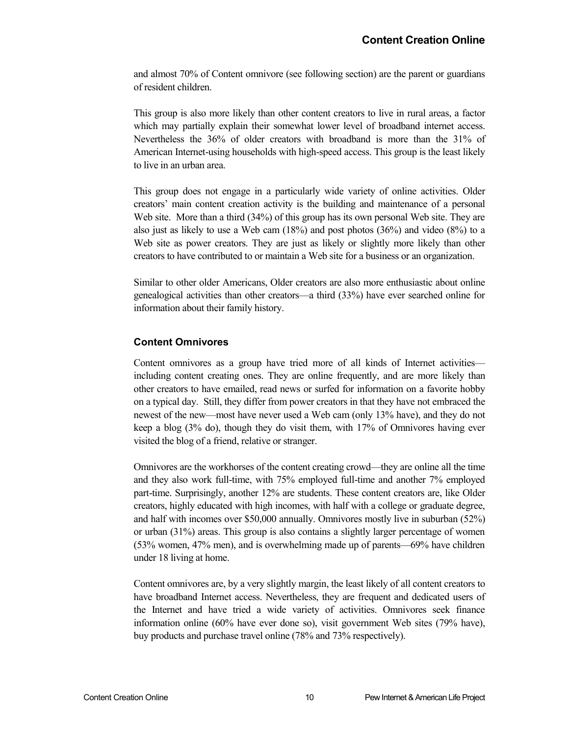and almost 70% of Content omnivore (see following section) are the parent or guardians of resident children.

This group is also more likely than other content creators to live in rural areas, a factor which may partially explain their somewhat lower level of broadband internet access. Nevertheless the 36% of older creators with broadband is more than the 31% of American Internet-using households with high-speed access. This group is the least likely to live in an urban area.

This group does not engage in a particularly wide variety of online activities. Older creators' main content creation activity is the building and maintenance of a personal Web site. More than a third (34%) of this group has its own personal Web site. They are also just as likely to use a Web cam  $(18%)$  and post photos  $(36%)$  and video  $(8%)$  to a Web site as power creators. They are just as likely or slightly more likely than other creators to have contributed to or maintain a Web site for a business or an organization.

Similar to other older Americans, Older creators are also more enthusiastic about online genealogical activities than other creators—a third (33%) have ever searched online for information about their family history.

#### **Content Omnivores**

Content omnivores as a group have tried more of all kinds of Internet activities including content creating ones. They are online frequently, and are more likely than other creators to have emailed, read news or surfed for information on a favorite hobby on a typical day. Still, they differ from power creators in that they have not embraced the newest of the new—most have never used a Web cam (only 13% have), and they do not keep a blog (3% do), though they do visit them, with 17% of Omnivores having ever visited the blog of a friend, relative or stranger.

Omnivores are the workhorses of the content creating crowd—they are online all the time and they also work full-time, with 75% employed full-time and another 7% employed part-time. Surprisingly, another 12% are students. These content creators are, like Older creators, highly educated with high incomes, with half with a college or graduate degree, and half with incomes over \$50,000 annually. Omnivores mostly live in suburban (52%) or urban (31%) areas. This group is also contains a slightly larger percentage of women (53% women, 47% men), and is overwhelming made up of parents—69% have children under 18 living at home.

Content omnivores are, by a very slightly margin, the least likely of all content creators to have broadband Internet access. Nevertheless, they are frequent and dedicated users of the Internet and have tried a wide variety of activities. Omnivores seek finance information online (60% have ever done so), visit government Web sites (79% have), buy products and purchase travel online (78% and 73% respectively).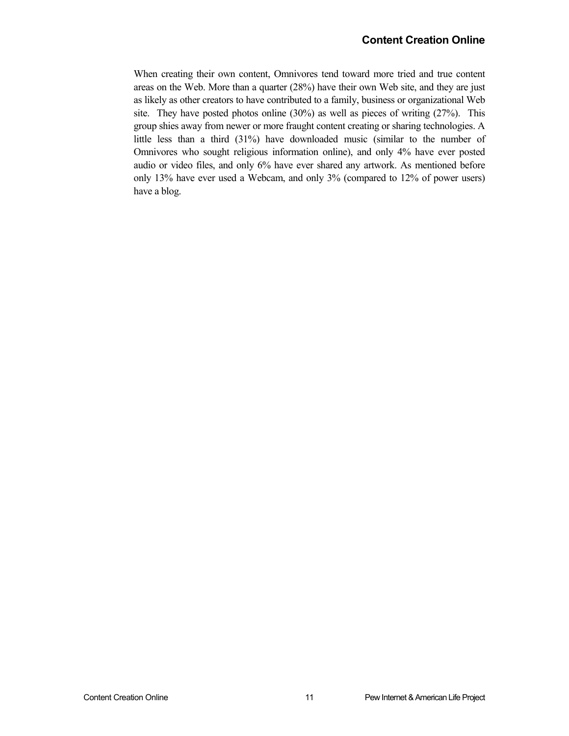When creating their own content, Omnivores tend toward more tried and true content areas on the Web. More than a quarter (28%) have their own Web site, and they are just as likely as other creators to have contributed to a family, business or organizational Web site. They have posted photos online (30%) as well as pieces of writing (27%). This group shies away from newer or more fraught content creating or sharing technologies. A little less than a third (31%) have downloaded music (similar to the number of Omnivores who sought religious information online), and only 4% have ever posted audio or video files, and only 6% have ever shared any artwork. As mentioned before only 13% have ever used a Webcam, and only 3% (compared to 12% of power users) have a blog.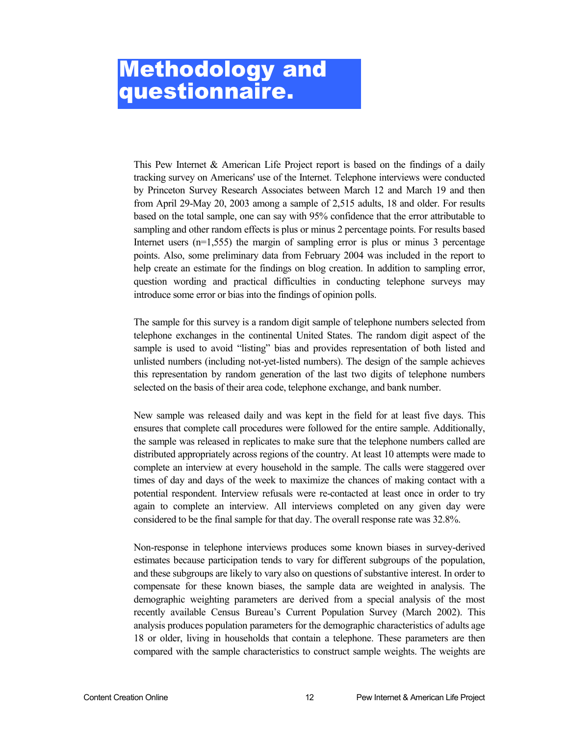### Methodology and questionnaire.

This Pew Internet & American Life Project report is based on the findings of a daily tracking survey on Americans' use of the Internet. Telephone interviews were conducted by Princeton Survey Research Associates between March 12 and March 19 and then from April 29-May 20, 2003 among a sample of 2,515 adults, 18 and older. For results based on the total sample, one can say with 95% confidence that the error attributable to sampling and other random effects is plus or minus 2 percentage points. For results based Internet users  $(n=1,555)$  the margin of sampling error is plus or minus 3 percentage points. Also, some preliminary data from February 2004 was included in the report to help create an estimate for the findings on blog creation. In addition to sampling error, question wording and practical difficulties in conducting telephone surveys may introduce some error or bias into the findings of opinion polls.

The sample for this survey is a random digit sample of telephone numbers selected from telephone exchanges in the continental United States. The random digit aspect of the sample is used to avoid "listing" bias and provides representation of both listed and unlisted numbers (including not-yet-listed numbers). The design of the sample achieves this representation by random generation of the last two digits of telephone numbers selected on the basis of their area code, telephone exchange, and bank number.

New sample was released daily and was kept in the field for at least five days. This ensures that complete call procedures were followed for the entire sample. Additionally, the sample was released in replicates to make sure that the telephone numbers called are distributed appropriately across regions of the country. At least 10 attempts were made to complete an interview at every household in the sample. The calls were staggered over times of day and days of the week to maximize the chances of making contact with a potential respondent. Interview refusals were re-contacted at least once in order to try again to complete an interview. All interviews completed on any given day were considered to be the final sample for that day. The overall response rate was 32.8%.

Non-response in telephone interviews produces some known biases in survey-derived estimates because participation tends to vary for different subgroups of the population, and these subgroups are likely to vary also on questions of substantive interest. In order to compensate for these known biases, the sample data are weighted in analysis. The demographic weighting parameters are derived from a special analysis of the most recently available Census Bureau's Current Population Survey (March 2002). This analysis produces population parameters for the demographic characteristics of adults age 18 or older, living in households that contain a telephone. These parameters are then compared with the sample characteristics to construct sample weights. The weights are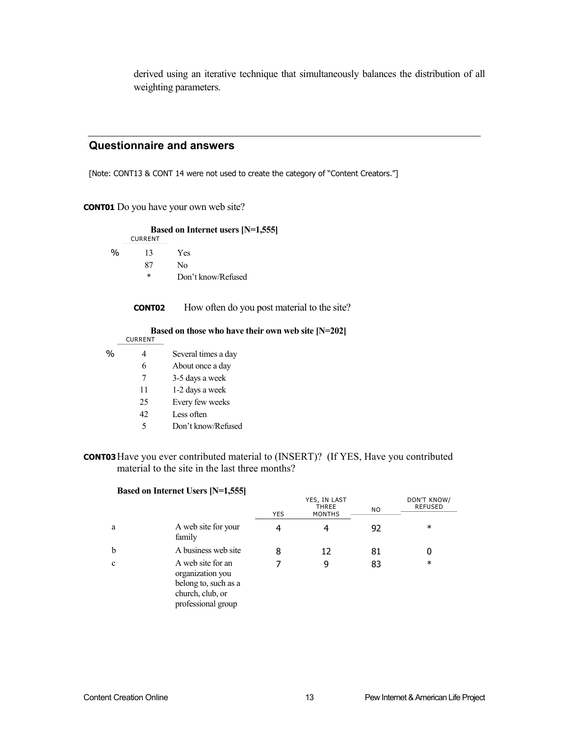derived using an iterative technique that simultaneously balances the distribution of all weighting parameters.

#### **Questionnaire and answers**

[Note: CONT13 & CONT 14 were not used to create the category of "Content Creators."]

**CONT01** Do you have your own web site?

|      | <b>CURRENT</b> | <b>Based on Internet users [N=1,555]</b>             |
|------|----------------|------------------------------------------------------|
| $\%$ | 13             | Yes                                                  |
|      | 87             | N <sub>0</sub>                                       |
|      | *              | Don't know/Refused                                   |
|      | <b>CONT02</b>  | How often do you post material to the site?          |
|      | <b>CURRENT</b> | Based on those who have their own web site $[N=202]$ |
| %    | 4              | Several times a day                                  |
|      | 6              | About once a day                                     |
|      | 7              | 3-5 days a week                                      |
|      | 11             | 1-2 days a week                                      |
|      | 25             | Every few weeks                                      |
|      | 42             | Less often                                           |
|      | 5              | Don't know/Refused                                   |

#### **CONT03**Have you ever contributed material to (INSERT)? (If YES, Have you contributed material to the site in the last three months?

|             | Based on Internet Users [N=1,555]                                                                       |            |                                               |           |                               |
|-------------|---------------------------------------------------------------------------------------------------------|------------|-----------------------------------------------|-----------|-------------------------------|
|             |                                                                                                         | <b>YES</b> | YES, IN LAST<br><b>THREE</b><br><b>MONTHS</b> | <b>NO</b> | DON'T KNOW/<br><b>REFUSED</b> |
| a           | A web site for your<br>family                                                                           | 4          | 4                                             | 92        | $\ast$                        |
| $\mathbf b$ | A business web site                                                                                     | 8          | 12                                            | 81        |                               |
| $\mathbf c$ | A web site for an<br>organization you<br>belong to, such as a<br>church, club, or<br>professional group |            | 9                                             | 83        | $\ast$                        |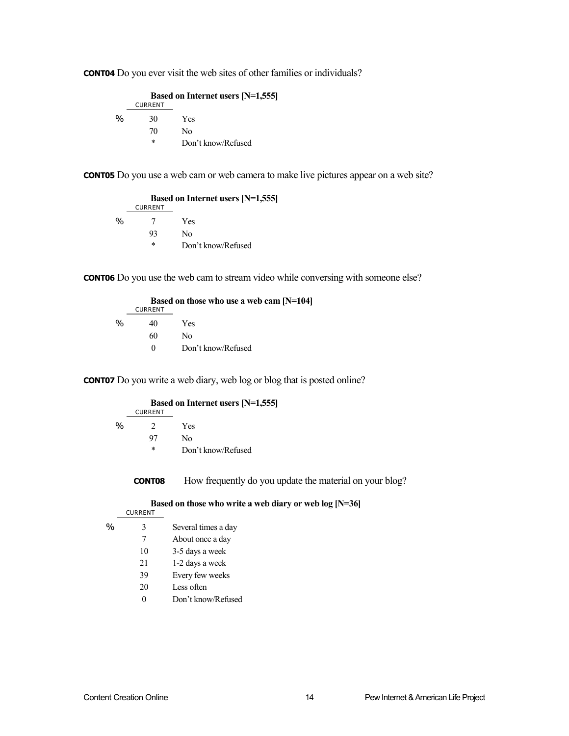**CONT04** Do you ever visit the web sites of other families or individuals?

 **Based on Internet users [N=1,555]** CURRENT % 30 Yes 70 No \* Don't know/Refused

**CONT05** Do you use a web cam or web camera to make live pictures appear on a web site?

 **Based on Internet users [N=1,555]** CURRENT % 7 Yes 93 No \* Don't know/Refused

**CONT06** Do you use the web cam to stream video while conversing with someone else?

|   |                | Based on those who use a web cam [N=104] |
|---|----------------|------------------------------------------|
|   | <b>CURRENT</b> |                                          |
| % | 40             | Yes                                      |
|   | 60             | No.                                      |
|   | $\theta$       | Don't know/Refused                       |

**CONT07** Do you write a web diary, web log or blog that is posted online?

|               | <b>CURRENT</b> | <b>Based on Internet users [N=1,555]</b> |
|---------------|----------------|------------------------------------------|
| $\frac{0}{0}$ | $\mathcal{D}$  | Yes                                      |
|               | 97             | Nο                                       |
|               | *              | Don't know/Refused                       |

**CONT08** How frequently do you update the material on your blog?

 **Based on those who write a web diary or web log [N=36]**

- CURRENT
- % 3 Several times a day
	- 7 About once a day
	- 10 3-5 days a week
	- 21 1-2 days a week
	- 39 Every few weeks
	- 20 Less often
	- 0 Don't know/Refused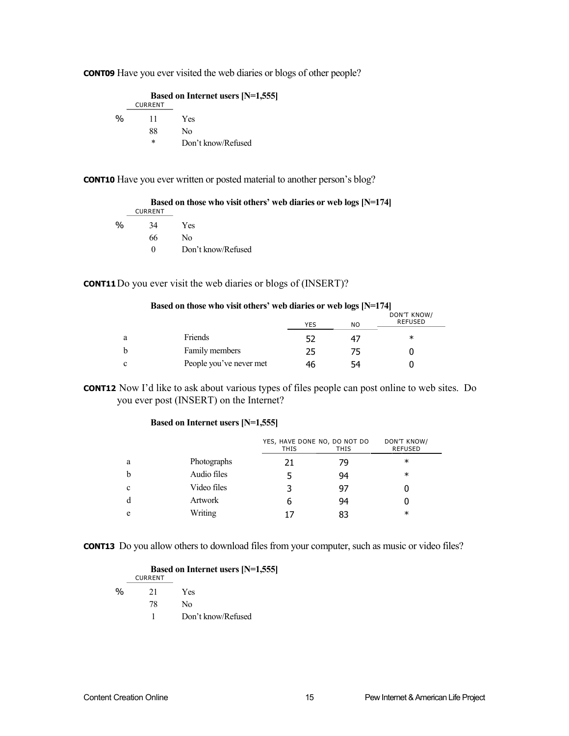**CONT09** Have you ever visited the web diaries or blogs of other people?

 **Based on Internet users [N=1,555]** CURRENT % 11 Yes 88 No \* Don't know/Refused

**CONT10** Have you ever written or posted material to another person's blog?

|               |                | Based on those who visit others' web diaries or web logs $[N=174]$ |
|---------------|----------------|--------------------------------------------------------------------|
|               | <b>CURRENT</b> |                                                                    |
| $\frac{0}{0}$ | 34             | Yes                                                                |
|               | 66             | No.                                                                |
|               |                | Don't know/Refused                                                 |

#### **CONT11** Do you ever visit the web diaries or blogs of (INSERT)?

|   | Based on those who visit others' web diaries or web logs $[N=174]$ |     |     |                               |
|---|--------------------------------------------------------------------|-----|-----|-------------------------------|
|   |                                                                    | YES | NO. | DON'T KNOW/<br><b>REFUSED</b> |
| a | <b>Friends</b>                                                     |     | 47  | $\ast$                        |
|   | Family members                                                     | 25  | 75  |                               |
|   | People you've never met                                            | 46  | 54  |                               |

**CONT12** Now I'd like to ask about various types of files people can post online to web sites. Do you ever post (INSERT) on the Internet?

#### **Based on Internet users [N=1,555]**

|   |             | YES, HAVE DONE NO, DO NOT DO<br><b>THIS</b> | <b>THIS</b> | <b>DON'T KNOW/</b><br><b>REFUSED</b> |
|---|-------------|---------------------------------------------|-------------|--------------------------------------|
| a | Photographs | 21                                          | 79          | $\ast$                               |
|   | Audio files |                                             | 94          | $\ast$                               |
| c | Video files |                                             | 97          |                                      |
| d | Artwork     | ь                                           | 94          |                                      |
| e | Writing     |                                             | 83          | $\ast$                               |

**CONT13** Do you allow others to download files from your computer, such as music or video files?

|               |                | <b>Based on Internet users [N=1,555]</b> |
|---------------|----------------|------------------------------------------|
|               | <b>CURRENT</b> |                                          |
| $\frac{0}{0}$ | 21             | Yes                                      |
|               | 78             | N٥                                       |
|               |                | Don't know/Refused                       |